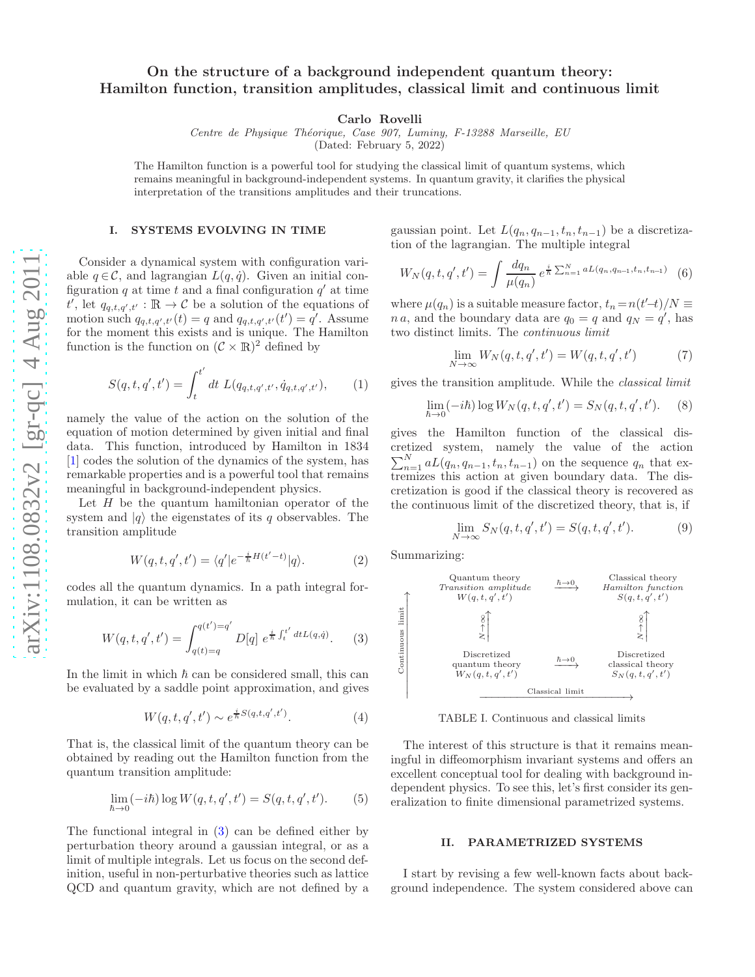# On the structure of a background independent quantum theory : Hamilton function, transition amplitudes, classical limit and continuous limit

Carlo Rovelli

Centre de Physique Théorique, Case 907, Luminy, F-13288 Marseille, EU

(Dated: February 5, 2022)

The Hamilton function is a powerful tool for studying the classical limit of quantum systems, which remains meaningful in background-independent systems. In quantum gravity, it clarifies the physical interpretation of the transitions amplitudes and their truncations.

### I. SYSTEMS EVOLVING IN TIME

Consider a dynamical system with configuration variable  $q \in \mathcal{C}$ , and lagrangian  $L(q, \dot{q})$ . Given an initial configuration q at time t and a final configuration  $q'$  at time t', let  $q_{q,t,q',t'} : \mathbb{R} \to \mathcal{C}$  be a solution of the equations of motion such  $q_{q,t,q',t'}(t) = q$  and  $q_{q,t,q',t'}(t') = q'$ . Assume for the moment this exists and is unique. The Hamilton function is the function on  $(C \times \mathbb{R})^2$  defined by

<span id="page-0-1"></span>
$$
S(q, t, q', t') = \int_{t}^{t'} dt \ L(q_{q, t, q', t'}, \dot{q}_{q, t, q', t'}), \qquad (1)
$$

namely the value of the action on the solution of the equation of motion determined by given initial and final data. This function, introduced by Hamilton in 1834 [\[1\]](#page-5-0) codes the solution of the dynamics of the system, has remarkable properties and is a powerful tool that remains meaningful in background-independent physics.

Let H be the quantum hamiltonian operator of the system and  $|q\rangle$  the eigenstates of its q observables. The transition amplitude

$$
W(q, t, q', t') = \langle q' | e^{-\frac{i}{\hbar}H(t'-t)} | q \rangle.
$$
 (2)

codes all the quantum dynamics. In a path integral formulation, it can be written as

<span id="page-0-0"></span>
$$
W(q, t, q', t') = \int_{q(t) = q}^{q(t') = q'} D[q] e^{\frac{i}{\hbar} \int_{t}^{t'} dt L(q, \dot{q})}.
$$
 (3)

In the limit in which  $\hbar$  can be considered small, this can be evaluated by a saddle point approximation, and gives

$$
W(q, t, q', t') \sim e^{\frac{i}{\hbar}S(q, t, q', t')}.
$$
 (4)

That is, the classical limit of the quantum theory can be obtained by reading out the Hamilton function from the quantum transition amplitude:

$$
\lim_{\hbar \to 0} (-i\hbar) \log W(q, t, q', t') = S(q, t, q', t').
$$
 (5)

The functional integral in ( [3\)](#page-0-0) can be defined either by perturbation theory around a gaussian integral, or as a limit of multiple integrals. Let us focus on the second definition, useful in non-perturbative theories such as lattice QCD and quantum gravity, which are not defined by a

gaussian point. Let  $L(q_n, q_{n-1}, t_n, t_{n-1})$  be a discretization of the lagrangian. The multiple integral

<span id="page-0-2"></span>
$$
W_N(q, t, q', t') = \int \frac{dq_n}{\mu(q_n)} e^{\frac{i}{\hbar} \sum_{n=1}^N aL(q_n, q_{n-1}, t_n, t_{n-1})} (6)
$$

where  $\mu(q_n)$  is a suitable measure factor,  $t_n = n(t'-t)/N \equiv$ n a, and the boundary data are  $q_0 = q$  and  $q_N = q'$ , has two distinct limits. The continuous limit

$$
\lim_{N \to \infty} W_N(q, t, q', t') = W(q, t, q', t')
$$
\n<sup>(7)</sup>

gives the transition amplitude. While the classical limit

$$
\lim_{\hbar \to 0} (-i\hbar) \log W_N(q, t, q', t') = S_N(q, t, q', t').
$$
 (8)

gives the Hamilton function of the classical discretized system, namely the value of the action  $\sum_{n=1}^{N} aL(q_n, q_{n-1}, t_n, t_{n-1})$  on the sequence  $q_n$  that extremizes this action at given boundary data. The discretization is good if the classical theory is recovered as the continuous limit of the discretized theory, that is, if

$$
\lim_{N \to \infty} S_N(q, t, q', t') = S(q, t, q', t').
$$
 (9)

Summarizing:



TABLE I. Continuous and classical limits

The interest of this structure is that it remains meaningful in diffeomorphism invariant systems and offers an excellent conceptual tool for dealing with background independent physics. To see this, let's first consider its generalization to finite dimensional parametrized systems.

#### II. PARAMETRIZED SYSTEMS

I start by revising a few well-known facts about background independence. The system considered above can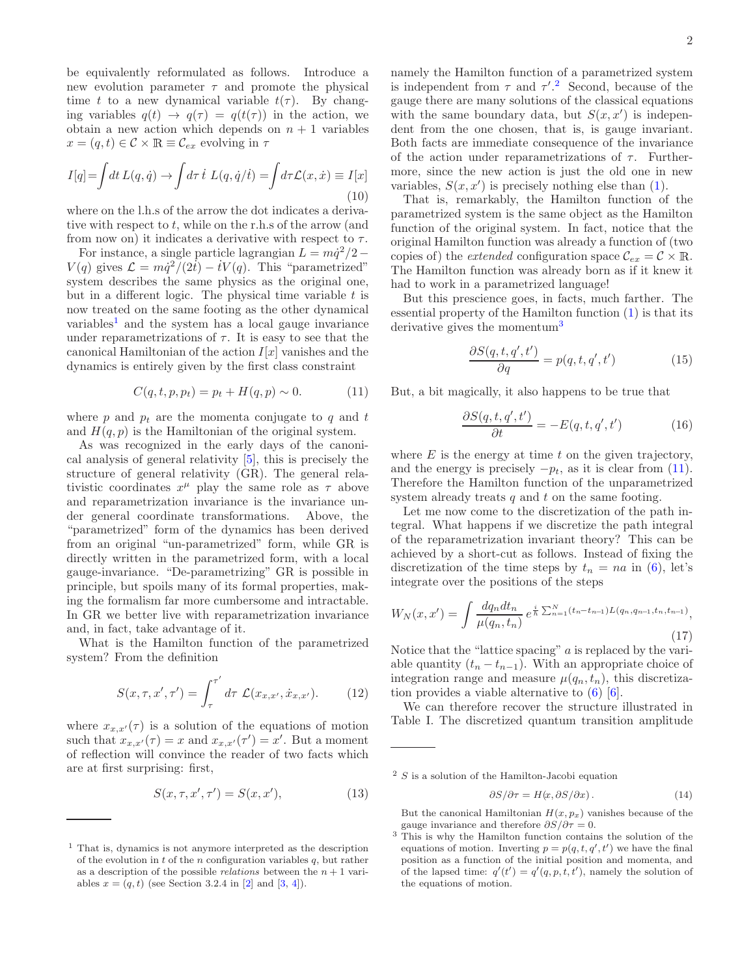be equivalently reformulated as follows. Introduce a new evolution parameter  $\tau$  and promote the physical time t to a new dynamical variable  $t(\tau)$ . By changing variables  $q(t) \rightarrow q(\tau) = q(t(\tau))$  in the action, we obtain a new action which depends on  $n + 1$  variables  $x = (q, t) \in \mathcal{C} \times \mathbb{R} \equiv \mathcal{C}_{ex}$  evolving in  $\tau$ 

$$
I[q] = \int dt \, L(q, \dot{q}) \to \int d\tau \, \dot{t} \, L(q, \dot{q}/\dot{t}) = \int d\tau \mathcal{L}(x, \dot{x}) \equiv I[x]
$$
\n(10)

where on the l.h.s of the arrow the dot indicates a derivative with respect to  $t$ , while on the r.h.s of the arrow (and from now on) it indicates a derivative with respect to  $\tau$ .

For instance, a single particle lagrangian  $L = m\dot{q}^2/2 V(q)$  gives  $\mathcal{L} = m\dot{q}^2/(2t) - tV(q)$ . This "parametrized" system describes the same physics as the original one, but in a different logic. The physical time variable  $t$  is now treated on the same footing as the other dynamical  $variable<sup>1</sup>$  $variable<sup>1</sup>$  $variable<sup>1</sup>$  and the system has a local gauge invariance under reparametrizations of  $\tau$ . It is easy to see that the canonical Hamiltonian of the action  $I[x]$  vanishes and the dynamics is entirely given by the first class constraint

<span id="page-1-3"></span>
$$
C(q, t, p, p_t) = p_t + H(q, p) \sim 0.
$$
 (11)

where p and  $p_t$  are the momenta conjugate to q and t and  $H(q, p)$  is the Hamiltonian of the original system.

As was recognized in the early days of the canonical analysis of general relativity [\[5\]](#page-5-1), this is precisely the structure of general relativity (GR). The general relativistic coordinates  $x^{\mu}$  play the same role as  $\tau$  above and reparametrization invariance is the invariance under general coordinate transformations. Above, the "parametrized" form of the dynamics has been derived from an original "un-parametrized" form, while GR is directly written in the parametrized form, with a local gauge-invariance. "De-parametrizing" GR is possible in principle, but spoils many of its formal properties, making the formalism far more cumbersome and intractable. In GR we better live with reparametrization invariance and, in fact, take advantage of it.

What is the Hamilton function of the parametrized system? From the definition

$$
S(x, \tau, x', \tau') = \int_{\tau}^{\tau'} d\tau \ \mathcal{L}(x_{x, x'}, \dot{x}_{x, x'}).
$$
 (12)

where  $x_{x,x'}(\tau)$  is a solution of the equations of motion such that  $x_{x,x'}(\tau) = x$  and  $x_{x,x'}(\tau') = x'$ . But a moment of reflection will convince the reader of two facts which are at first surprising: first,

$$
S(x, \tau, x', \tau') = S(x, x'),\tag{13}
$$

namely the Hamilton function of a parametrized system is independent from  $\tau$  and  $\tau'^{2}$  $\tau'^{2}$  $\tau'^{2}$ . Second, because of the gauge there are many solutions of the classical equations with the same boundary data, but  $S(x, x')$  is independent from the one chosen, that is, is gauge invariant. Both facts are immediate consequence of the invariance of the action under reparametrizations of  $\tau$ . Furthermore, since the new action is just the old one in new variables,  $S(x, x')$  is precisely nothing else than  $(1)$ .

That is, remarkably, the Hamilton function of the parametrized system is the same object as the Hamilton function of the original system. In fact, notice that the original Hamilton function was already a function of (two copies of) the *extended* configuration space  $C_{ex} = C \times \mathbb{R}$ . The Hamilton function was already born as if it knew it had to work in a parametrized language!

But this prescience goes, in facts, much farther. The essential property of the Hamilton function [\(1\)](#page-0-1) is that its derivative gives the momentum<sup>[3](#page-1-2)</sup>

$$
\frac{\partial S(q, t, q', t')}{\partial q} = p(q, t, q', t')\tag{15}
$$

But, a bit magically, it also happens to be true that

$$
\frac{\partial S(q, t, q', t')}{\partial t} = -E(q, t, q', t')\tag{16}
$$

where  $E$  is the energy at time  $t$  on the given trajectory, and the energy is precisely  $-p_t$ , as it is clear from [\(11\)](#page-1-3). Therefore the Hamilton function of the unparametrized system already treats  $q$  and  $t$  on the same footing.

Let me now come to the discretization of the path integral. What happens if we discretize the path integral of the reparametrization invariant theory? This can be achieved by a short-cut as follows. Instead of fixing the discretization of the time steps by  $t_n = na$  in [\(6\)](#page-0-2), let's integrate over the positions of the steps

<span id="page-1-4"></span>
$$
W_N(x, x') = \int \frac{dq_n dt_n}{\mu(q_n, t_n)} e^{\frac{i}{\hbar} \sum_{n=1}^N (t_n - t_{n-1}) L(q_n, q_{n-1}, t_n, t_{n-1})},
$$
\n(17)

Notice that the "lattice spacing" a is replaced by the variable quantity  $(t_n - t_{n-1})$ . With an appropriate choice of integration range and measure  $\mu(q_n, t_n)$ , this discretization provides a viable alternative to [\(6\)](#page-0-2) [\[6](#page-5-5)].

We can therefore recover the structure illustrated in Table I. The discretized quantum transition amplitude

$$
\frac{\partial S}{\partial \tau} = H(x, \frac{\partial S}{\partial x}) \,. \tag{14}
$$

But the canonical Hamiltonian  $H(x, p_x)$  vanishes because of the gauge invariance and therefore  $\partial S/\partial \tau = 0$ .

<span id="page-1-0"></span><sup>1</sup> That is, dynamics is not anymore interpreted as the description of the evolution in  $t$  of the  $n$  configuration variables  $q$ , but rather as a description of the possible *relations* between the  $n + 1$  variables  $x = (q, t)$  (see Section 3.2.4 in [\[2](#page-5-2)] and [\[3,](#page-5-3) [4\]](#page-5-4)).

<span id="page-1-1"></span> $2 S$  is a solution of the Hamilton-Jacobi equation

<span id="page-1-2"></span><sup>&</sup>lt;sup>3</sup> This is why the Hamilton function contains the solution of the equations of motion. Inverting  $p = p(q, t, q', t')$  we have the final position as a function of the initial position and momenta, and of the lapsed time:  $q'(t') = q'(q, p, t, t')$ , namely the solution of the equations of motion.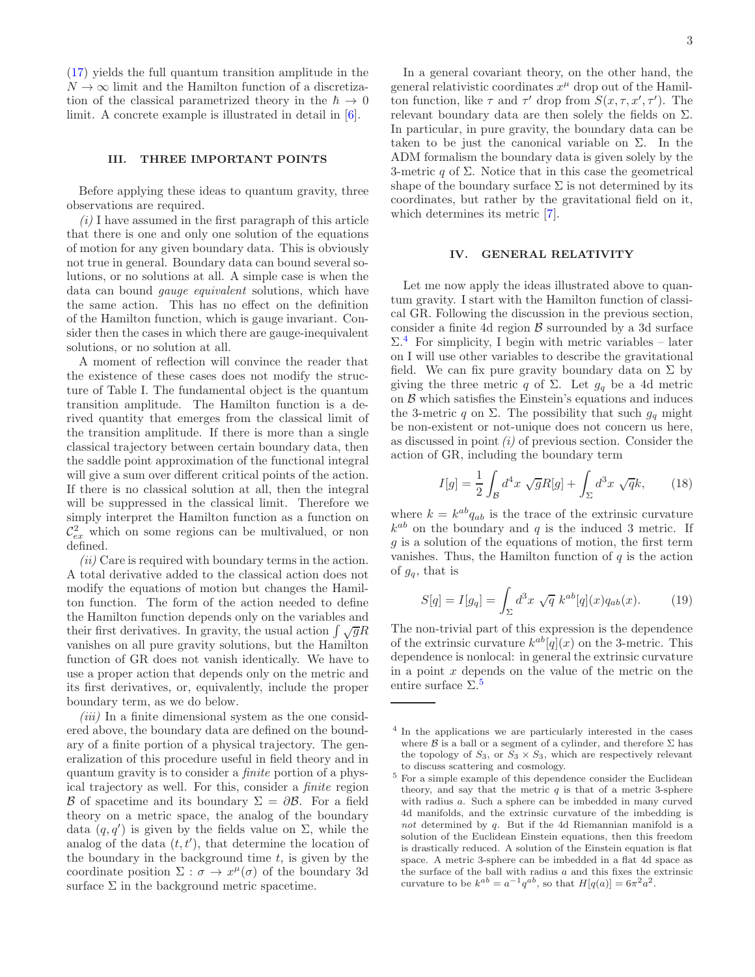[\(17\)](#page-1-4) yields the full quantum transition amplitude in the  $N \to \infty$  limit and the Hamilton function of a discretization of the classical parametrized theory in the  $\hbar \to 0$ limit. A concrete example is illustrated in detail in [\[6](#page-5-5)].

#### III. THREE IMPORTANT POINTS

Before applying these ideas to quantum gravity, three observations are required.

 $(i)$  I have assumed in the first paragraph of this article that there is one and only one solution of the equations of motion for any given boundary data. This is obviously not true in general. Boundary data can bound several solutions, or no solutions at all. A simple case is when the data can bound gauge equivalent solutions, which have the same action. This has no effect on the definition of the Hamilton function, which is gauge invariant. Consider then the cases in which there are gauge-inequivalent solutions, or no solution at all.

A moment of reflection will convince the reader that the existence of these cases does not modify the structure of Table I. The fundamental object is the quantum transition amplitude. The Hamilton function is a derived quantity that emerges from the classical limit of the transition amplitude. If there is more than a single classical trajectory between certain boundary data, then the saddle point approximation of the functional integral will give a sum over different critical points of the action. If there is no classical solution at all, then the integral will be suppressed in the classical limit. Therefore we simply interpret the Hamilton function as a function on  $\mathcal{C}_{ex}^2$  which on some regions can be multivalued, or non defined.

 $(ii)$  Care is required with boundary terms in the action. A total derivative added to the classical action does not modify the equations of motion but changes the Hamilton function. The form of the action needed to define the Hamilton function depends only on the variables and their first derivatives. In gravity, the usual action  $\int \sqrt{g}R$ vanishes on all pure gravity solutions, but the Hamilton function of GR does not vanish identically. We have to use a proper action that depends only on the metric and its first derivatives, or, equivalently, include the proper boundary term, as we do below.

 $(iii)$  In a finite dimensional system as the one considered above, the boundary data are defined on the boundary of a finite portion of a physical trajectory. The generalization of this procedure useful in field theory and in quantum gravity is to consider a finite portion of a physical trajectory as well. For this, consider a finite region B of spacetime and its boundary  $\Sigma = \partial \mathcal{B}$ . For a field theory on a metric space, the analog of the boundary data  $(q, q')$  is given by the fields value on  $\Sigma$ , while the analog of the data  $(t, t')$ , that determine the location of the boundary in the background time  $t$ , is given by the coordinate position  $\Sigma$ :  $\sigma \to x^{\mu}(\sigma)$  of the boundary 3d surface  $\Sigma$  in the background metric spacetime.

In a general covariant theory, on the other hand, the general relativistic coordinates  $x^{\mu}$  drop out of the Hamilton function, like  $\tau$  and  $\tau'$  drop from  $S(x, \tau, x', \tau')$ . The relevant boundary data are then solely the fields on  $\Sigma$ . In particular, in pure gravity, the boundary data can be taken to be just the canonical variable on  $\Sigma$ . In the ADM formalism the boundary data is given solely by the 3-metric q of  $\Sigma$ . Notice that in this case the geometrical shape of the boundary surface  $\Sigma$  is not determined by its coordinates, but rather by the gravitational field on it, which determines its metric [\[7\]](#page-5-6).

## IV. GENERAL RELATIVITY

Let me now apply the ideas illustrated above to quantum gravity. I start with the Hamilton function of classical GR. Following the discussion in the previous section, consider a finite 4d region  $\beta$  surrounded by a 3d surface  $\Sigma$ .<sup>[4](#page-2-0)</sup> For simplicity, I begin with metric variables – later on I will use other variables to describe the gravitational field. We can fix pure gravity boundary data on  $\Sigma$  by giving the three metric q of  $\Sigma$ . Let  $g_q$  be a 4d metric on  $\beta$  which satisfies the Einstein's equations and induces the 3-metric q on  $\Sigma$ . The possibility that such  $g_q$  might be non-existent or not-unique does not concern us here, as discussed in point  $(i)$  of previous section. Consider the action of GR, including the boundary term

$$
I[g] = \frac{1}{2} \int_{\mathcal{B}} d^4x \sqrt{g}R[g] + \int_{\Sigma} d^3x \sqrt{q}k, \qquad (18)
$$

where  $k = k^{ab}q_{ab}$  is the trace of the extrinsic curvature  $k^{ab}$  on the boundary and q is the induced 3 metric. If  $g$  is a solution of the equations of motion, the first term vanishes. Thus, the Hamilton function of  $q$  is the action of  $g_q$ , that is

<span id="page-2-2"></span>
$$
S[q] = I[g_q] = \int_{\Sigma} d^3x \sqrt{q} k^{ab} [q](x) q_{ab}(x).
$$
 (19)

The non-trivial part of this expression is the dependence of the extrinsic curvature  $k^{ab}[q](x)$  on the 3-metric. This dependence is nonlocal: in general the extrinsic curvature in a point  $x$  depends on the value of the metric on the entire surface  $\Sigma$ .<sup>[5](#page-2-1)</sup>

<span id="page-2-0"></span><sup>4</sup> In the applications we are particularly interested in the cases where  $\beta$  is a ball or a segment of a cylinder, and therefore  $\Sigma$  has the topology of  $S_3$ , or  $S_3 \times S_3$ , which are respectively relevant to discuss scattering and cosmology.

<span id="page-2-1"></span> $^5$  For a simple example of this dependence consider the Euclidean  $\,$ theory, and say that the metric  $q$  is that of a metric 3-sphere with radius a. Such a sphere can be imbedded in many curved 4d manifolds, and the extrinsic curvature of the imbedding is not determined by q. But if the 4d Riemannian manifold is a solution of the Euclidean Einstein equations, then this freedom is drastically reduced. A solution of the Einstein equation is flat space. A metric 3-sphere can be imbedded in a flat 4d space as the surface of the ball with radius  $a$  and this fixes the extrinsic curvature to be  $k^{ab} = a^{-1}q^{ab}$ , so that  $H[q(a)] = 6\pi^2 a^2$ .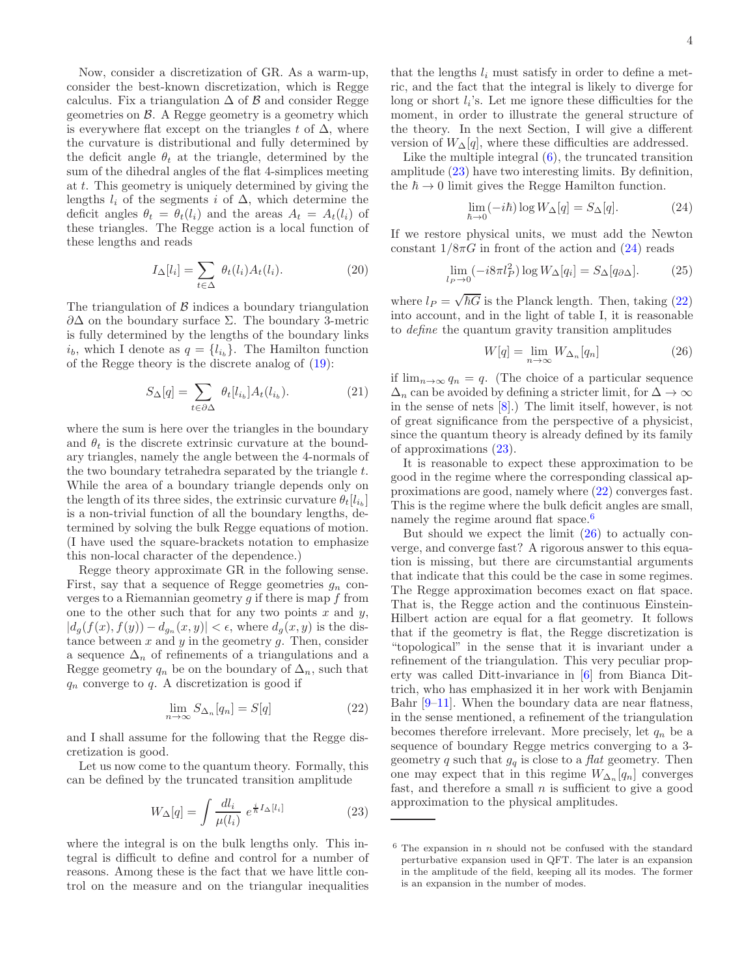Now, consider a discretization of GR. As a warm-up, consider the best-known discretization, which is Regge calculus. Fix a triangulation  $\Delta$  of  $\beta$  and consider Regge geometries on  $\beta$ . A Regge geometry is a geometry which is everywhere flat except on the triangles t of  $\Delta$ , where the curvature is distributional and fully determined by the deficit angle  $\theta_t$  at the triangle, determined by the sum of the dihedral angles of the flat 4-simplices meeting at t. This geometry is uniquely determined by giving the lengths  $l_i$  of the segments i of  $\Delta$ , which determine the deficit angles  $\theta_t = \theta_t(l_i)$  and the areas  $A_t = A_t(l_i)$  of these triangles. The Regge action is a local function of these lengths and reads

$$
I_{\Delta}[l_i] = \sum_{t \in \Delta} \theta_t(l_i) A_t(l_i). \tag{20}
$$

The triangulation of  $\beta$  indices a boundary triangulation  $\partial\Delta$  on the boundary surface  $\Sigma$ . The boundary 3-metric is fully determined by the lengths of the boundary links  $i_b$ , which I denote as  $q = \{l_{i_b}\}\.$  The Hamilton function of the Regge theory is the discrete analog of [\(19\)](#page-2-2):

$$
S_{\Delta}[q] = \sum_{t \in \partial \Delta} \theta_t[l_{i_b}] A_t(l_{i_b}). \tag{21}
$$

where the sum is here over the triangles in the boundary and  $\theta_t$  is the discrete extrinsic curvature at the boundary triangles, namely the angle between the 4-normals of the two boundary tetrahedra separated by the triangle t. While the area of a boundary triangle depends only on the length of its three sides, the extrinsic curvature  $\theta_t[l_{i_b}]$ is a non-trivial function of all the boundary lengths, determined by solving the bulk Regge equations of motion. (I have used the square-brackets notation to emphasize this non-local character of the dependence.)

Regge theory approximate GR in the following sense. First, say that a sequence of Regge geometries  $g_n$  converges to a Riemannian geometry  $q$  if there is map f from one to the other such that for any two points  $x$  and  $y$ ,  $|d_g(f(x), f(y)) - d_{g_n}(x, y)| < \epsilon$ , where  $d_g(x, y)$  is the distance between  $x$  and  $y$  in the geometry  $g$ . Then, consider a sequence  $\Delta_n$  of refinements of a triangulations and a Regge geometry  $q_n$  be on the boundary of  $\Delta_n$ , such that  $q_n$  converge to q. A discretization is good if

<span id="page-3-2"></span>
$$
\lim_{n \to \infty} S_{\Delta_n}[q_n] = S[q] \tag{22}
$$

and I shall assume for the following that the Regge discretization is good.

Let us now come to the quantum theory. Formally, this can be defined by the truncated transition amplitude

<span id="page-3-0"></span>
$$
W_{\Delta}[q] = \int \frac{dl_i}{\mu(l_i)} \ e^{\frac{i}{\hbar}I_{\Delta}[l_i]} \tag{23}
$$

where the integral is on the bulk lengths only. This integral is difficult to define and control for a number of reasons. Among these is the fact that we have little control on the measure and on the triangular inequalities

that the lengths  $l_i$  must satisfy in order to define a metric, and the fact that the integral is likely to diverge for long or short  $l_i$ 's. Let me ignore these difficulties for the moment, in order to illustrate the general structure of the theory. In the next Section, I will give a different version of  $W_{\Delta}[q]$ , where these difficulties are addressed.

Like the multiple integral  $(6)$ , the truncated transition amplitude [\(23\)](#page-3-0) have two interesting limits. By definition, the  $\hbar \rightarrow 0$  limit gives the Regge Hamilton function.

<span id="page-3-1"></span>
$$
\lim_{\hbar \to 0} (-i\hbar) \log W_{\Delta}[q] = S_{\Delta}[q]. \tag{24}
$$

If we restore physical units, we must add the Newton constant  $1/8\pi G$  in front of the action and  $(24)$  reads

$$
\lim_{l_P \to 0} (-i8\pi l_P^2) \log W_{\Delta}[q_i] = S_{\Delta}[q_{\partial \Delta}]. \tag{25}
$$

where  $l_P = \sqrt{\hbar G}$  is the Planck length. Then, taking [\(22\)](#page-3-2) into account, and in the light of table I, it is reasonable to define the quantum gravity transition amplitudes

<span id="page-3-4"></span>
$$
W[q] = \lim_{n \to \infty} W_{\Delta_n}[q_n]
$$
 (26)

if  $\lim_{n\to\infty} q_n = q$ . (The choice of a particular sequence  $\Delta_n$  can be avoided by defining a stricter limit, for  $\Delta \to \infty$ in the sense of nets [\[8\]](#page-5-7).) The limit itself, however, is not of great significance from the perspective of a physicist, since the quantum theory is already defined by its family of approximations [\(23\)](#page-3-0).

It is reasonable to expect these approximation to be good in the regime where the corresponding classical approximations are good, namely where [\(22\)](#page-3-2) converges fast. This is the regime where the bulk deficit angles are small, namely the regime around flat space.<sup>[6](#page-3-3)</sup>

But should we expect the limit [\(26\)](#page-3-4) to actually converge, and converge fast? A rigorous answer to this equation is missing, but there are circumstantial arguments that indicate that this could be the case in some regimes. The Regge approximation becomes exact on flat space. That is, the Regge action and the continuous Einstein-Hilbert action are equal for a flat geometry. It follows that if the geometry is flat, the Regge discretization is "topological" in the sense that it is invariant under a refinement of the triangulation. This very peculiar property was called Ditt-invariance in [\[6](#page-5-5)] from Bianca Dittrich, who has emphasized it in her work with Benjamin Bahr [\[9](#page-5-8)[–11\]](#page-5-9). When the boundary data are near flatness, in the sense mentioned, a refinement of the triangulation becomes therefore irrelevant. More precisely, let  $q_n$  be a sequence of boundary Regge metrics converging to a 3 geometry q such that  $g_q$  is close to a flat geometry. Then one may expect that in this regime  $W_{\Delta_n}[q_n]$  converges fast, and therefore a small  $n$  is sufficient to give a good approximation to the physical amplitudes.

<span id="page-3-3"></span> $6$  The expansion in n should not be confused with the standard perturbative expansion used in QFT. The later is an expansion in the amplitude of the field, keeping all its modes. The former is an expansion in the number of modes.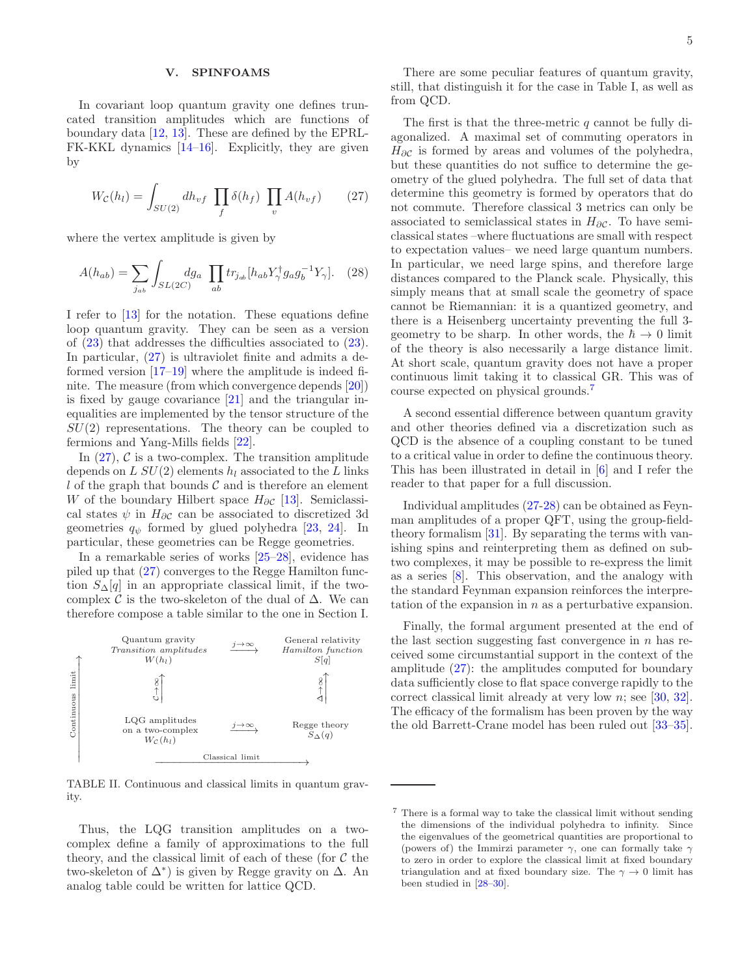## V. SPINFOAMS

In covariant loop quantum gravity one defines truncated transition amplitudes which are functions of boundary data [\[12,](#page-5-10) [13\]](#page-5-11). These are defined by the EPRL-FK-KKL dynamics [\[14](#page-5-12)[–16](#page-5-13)]. Explicitly, they are given by

<span id="page-4-0"></span>
$$
W_{\mathcal{C}}(h_l) = \int_{SU(2)} dh_{vf} \prod_f \delta(h_f) \prod_v A(h_{vf}) \tag{27}
$$

where the vertex amplitude is given by

<span id="page-4-2"></span>
$$
A(h_{ab}) = \sum_{j_{ab}} \int_{SL(2C)} dg_a \prod_{ab} tr_{j_{ab}} [h_{ab} Y^{\dagger}_{\gamma} g_a g_b^{-1} Y_{\gamma}]. \quad (28)
$$

I refer to [\[13](#page-5-11)] for the notation. These equations define loop quantum gravity. They can be seen as a version of [\(23\)](#page-3-0) that addresses the difficulties associated to [\(23\)](#page-3-0). In particular, [\(27\)](#page-4-0) is ultraviolet finite and admits a deformed version [\[17](#page-5-14)[–19](#page-5-15)] where the amplitude is indeed finite. The measure (from which convergence depends [\[20\]](#page-5-16)) is fixed by gauge covariance [\[21](#page-5-17)] and the triangular inequalities are implemented by the tensor structure of the  $SU(2)$  representations. The theory can be coupled to fermions and Yang-Mills fields [\[22\]](#page-5-18).

In  $(27)$ , C is a two-complex. The transition amplitude depends on L  $SU(2)$  elements  $h_l$  associated to the L links l of the graph that bounds  $\mathcal C$  and is therefore an element W of the boundary Hilbert space  $H_{\partial\mathcal{C}}$  [\[13](#page-5-11)]. Semiclassical states  $\psi$  in  $H_{\partial\mathcal{C}}$  can be associated to discretized 3d geometries  $q_{\psi}$  formed by glued polyhedra [\[23,](#page-5-19) [24\]](#page-6-0). In particular, these geometries can be Regge geometries.

In a remarkable series of works [\[25](#page-6-1)[–28](#page-6-2)], evidence has piled up that [\(27\)](#page-4-0) converges to the Regge Hamilton function  $S_{\Delta}[q]$  in an appropriate classical limit, if the twocomplex  $\mathcal C$  is the two-skeleton of the dual of  $\Delta$ . We can therefore compose a table similar to the one in Section I.



TABLE II. Continuous and classical limits in quantum gravity.

Thus, the LQG transition amplitudes on a twocomplex define a family of approximations to the full theory, and the classical limit of each of these (for  $\mathcal C$  the two-skeleton of  $\Delta^*$ ) is given by Regge gravity on  $\Delta$ . An analog table could be written for lattice QCD.

There are some peculiar features of quantum gravity, still, that distinguish it for the case in Table I, as well as from QCD.

The first is that the three-metric  $q$  cannot be fully diagonalized. A maximal set of commuting operators in  $H_{\partial\mathcal{C}}$  is formed by areas and volumes of the polyhedra, but these quantities do not suffice to determine the geometry of the glued polyhedra. The full set of data that determine this geometry is formed by operators that do not commute. Therefore classical 3 metrics can only be associated to semiclassical states in  $H_{\partial\mathcal{C}}$ . To have semiclassical states –where fluctuations are small with respect to expectation values– we need large quantum numbers. In particular, we need large spins, and therefore large distances compared to the Planck scale. Physically, this simply means that at small scale the geometry of space cannot be Riemannian: it is a quantized geometry, and there is a Heisenberg uncertainty preventing the full 3 geometry to be sharp. In other words, the  $\hbar \rightarrow 0$  limit of the theory is also necessarily a large distance limit. At short scale, quantum gravity does not have a proper continuous limit taking it to classical GR. This was of course expected on physical grounds.[7](#page-4-1)

A second essential difference between quantum gravity and other theories defined via a discretization such as QCD is the absence of a coupling constant to be tuned to a critical value in order to define the continuous theory. This has been illustrated in detail in [\[6\]](#page-5-5) and I refer the reader to that paper for a full discussion.

Individual amplitudes [\(27](#page-4-0)[-28\)](#page-4-2) can be obtained as Feynman amplitudes of a proper QFT, using the group-fieldtheory formalism [\[31\]](#page-6-3). By separating the terms with vanishing spins and reinterpreting them as defined on subtwo complexes, it may be possible to re-express the limit as a series [\[8](#page-5-7)]. This observation, and the analogy with the standard Feynman expansion reinforces the interpretation of the expansion in  $n$  as a perturbative expansion.

Finally, the formal argument presented at the end of the last section suggesting fast convergence in  $n$  has received some circumstantial support in the context of the amplitude [\(27\)](#page-4-0): the amplitudes computed for boundary data sufficiently close to flat space converge rapidly to the correct classical limit already at very low n; see [\[30,](#page-6-4) [32\]](#page-6-5). The efficacy of the formalism has been proven by the way the old Barrett-Crane model has been ruled out [\[33](#page-6-6)[–35\]](#page-6-7).

<span id="page-4-1"></span><sup>7</sup> There is a formal way to take the classical limit without sending the dimensions of the individual polyhedra to infinity. Since the eigenvalues of the geometrical quantities are proportional to (powers of) the Immirzi parameter  $\gamma$ , one can formally take  $\gamma$ to zero in order to explore the classical limit at fixed boundary triangulation and at fixed boundary size. The  $\gamma \to 0$  limit has been studied in [\[28](#page-6-2)[–30](#page-6-4)].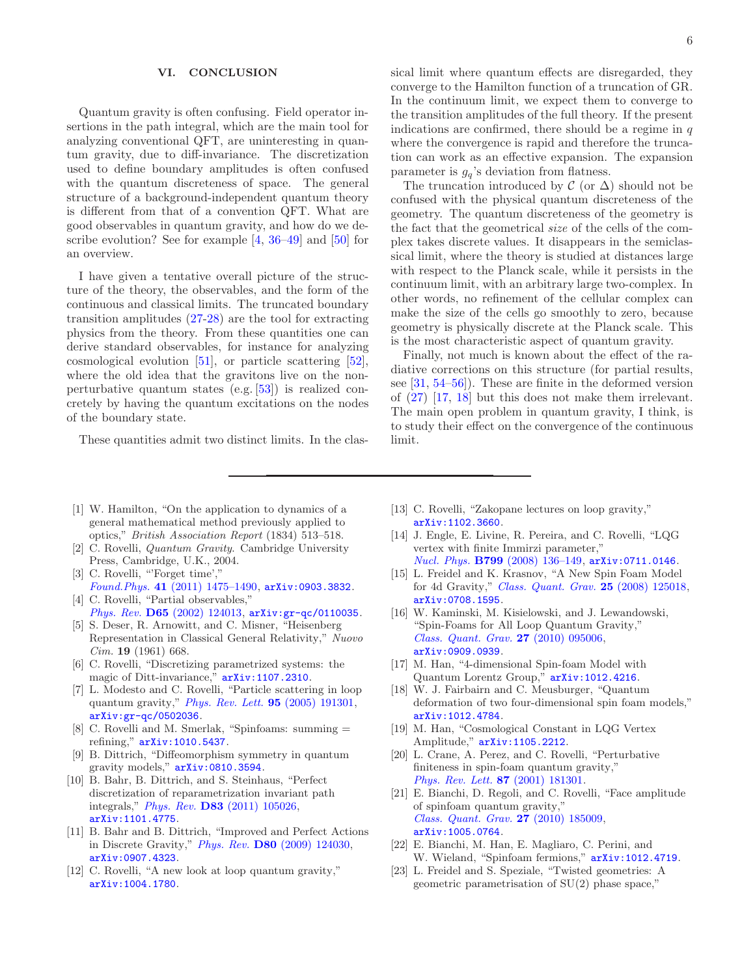#### VI. CONCLUSION

Quantum gravity is often confusing. Field operator insertions in the path integral, which are the main tool for analyzing conventional QFT, are uninteresting in quantum gravity, due to diff-invariance. The discretization used to define boundary amplitudes is often confused with the quantum discreteness of space. The general structure of a background-independent quantum theory is different from that of a convention QFT. What are good observables in quantum gravity, and how do we describe evolution? See for example [\[4,](#page-5-4) [36](#page-6-8)[–49\]](#page-6-9) and [\[50](#page-6-10)] for an overview.

I have given a tentative overall picture of the structure of the theory, the observables, and the form of the continuous and classical limits. The truncated boundary transition amplitudes [\(27-](#page-4-0)[28\)](#page-4-2) are the tool for extracting physics from the theory. From these quantities one can derive standard observables, for instance for analyzing cosmological evolution [\[51\]](#page-6-11), or particle scattering [\[52\]](#page-6-12), where the old idea that the gravitons live on the nonperturbative quantum states (e.g. [\[53\]](#page-6-13)) is realized concretely by having the quantum excitations on the nodes of the boundary state.

These quantities admit two distinct limits. In the clas-

sical limit where quantum effects are disregarded, they converge to the Hamilton function of a truncation of GR. In the continuum limit, we expect them to converge to the transition amplitudes of the full theory. If the present indications are confirmed, there should be a regime in  $q$ where the convergence is rapid and therefore the truncation can work as an effective expansion. The expansion parameter is  $g_q$ 's deviation from flatness.

The truncation introduced by  $\mathcal{C}$  (or  $\Delta$ ) should not be confused with the physical quantum discreteness of the geometry. The quantum discreteness of the geometry is the fact that the geometrical size of the cells of the complex takes discrete values. It disappears in the semiclassical limit, where the theory is studied at distances large with respect to the Planck scale, while it persists in the continuum limit, with an arbitrary large two-complex. In other words, no refinement of the cellular complex can make the size of the cells go smoothly to zero, because geometry is physically discrete at the Planck scale. This is the most characteristic aspect of quantum gravity.

Finally, not much is known about the effect of the radiative corrections on this structure (for partial results, see [\[31,](#page-6-3) [54](#page-6-14)[–56](#page-6-15)]). These are finite in the deformed version of [\(27\)](#page-4-0) [\[17,](#page-5-14) [18](#page-5-20)] but this does not make them irrelevant. The main open problem in quantum gravity, I think, is to study their effect on the convergence of the continuous limit.

- <span id="page-5-0"></span>[1] W. Hamilton, "On the application to dynamics of a general mathematical method previously applied to optics," British Association Report (1834) 513–518.
- <span id="page-5-2"></span>[2] C. Rovelli, Quantum Gravity. Cambridge University Press, Cambridge, U.K., 2004.
- <span id="page-5-3"></span>[3] C. Rovelli, "'Forget time'," Found.Phys. 41 [\(2011\) 1475–1490,](http://dx.doi.org/10.1007/s10701-011-9561-4) [arXiv:0903.3832](http://arxiv.org/abs/0903.3832). [4] C. Rovelli, "Partial observables,"
- <span id="page-5-4"></span>Phys. Rev. D65 [\(2002\) 124013,](http://dx.doi.org/10.1103/PhysRevD.65.124013) arXiv: gr-qc/0110035. [5] S. Deser, R. Arnowitt, and C. Misner, "Heisenberg
- <span id="page-5-1"></span>Representation in Classical General Relativity," Nuovo Cim. 19 (1961) 668.
- <span id="page-5-5"></span>[6] C. Rovelli, "Discretizing parametrized systems: the magic of Ditt-invariance,"  $arXiv:1107.2310$ .
- <span id="page-5-6"></span>[7] L. Modesto and C. Rovelli, "Particle scattering in loop quantum gravity," [Phys. Rev. Lett.](http://dx.doi.org/10.1103/PhysRevLett.95.191301) 95 (2005) 191301, [arXiv:gr-qc/0502036](http://arxiv.org/abs/gr-qc/0502036).
- <span id="page-5-7"></span>[8] C. Rovelli and M. Smerlak, "Spinfoams: summing = refining," [arXiv:1010.5437](http://arxiv.org/abs/1010.5437).
- <span id="page-5-8"></span>[9] B. Dittrich, "Diffeomorphism symmetry in quantum gravity models," [arXiv:0810.3594](http://arxiv.org/abs/0810.3594).
- [10] B. Bahr, B. Dittrich, and S. Steinhaus, "Perfect discretization of reparametrization invariant path integrals," Phys. Rev. D83 [\(2011\) 105026,](http://dx.doi.org/10.1103/PhysRevD.83.105026) [arXiv:1101.4775](http://arxiv.org/abs/1101.4775).
- <span id="page-5-9"></span>[11] B. Bahr and B. Dittrich, "Improved and Perfect Actions in Discrete Gravity," Phys. Rev. D80 [\(2009\) 124030,](http://dx.doi.org/10.1103/PhysRevD.80.124030) [arXiv:0907.4323](http://arxiv.org/abs/0907.4323).
- <span id="page-5-10"></span>[12] C. Rovelli, "A new look at loop quantum gravity," [arXiv:1004.1780](http://arxiv.org/abs/1004.1780).
- <span id="page-5-11"></span>[13] C. Rovelli, "Zakopane lectures on loop gravity," [arXiv:1102.3660](http://arxiv.org/abs/1102.3660).
- <span id="page-5-12"></span>[14] J. Engle, E. Livine, R. Pereira, and C. Rovelli, "LQG vertex with finite Immirzi parameter," Nucl. Phys. B799 [\(2008\) 136–149,](http://dx.doi.org/10.1016/j.nuclphysb.2008.02.018) [arXiv:0711.0146](http://arxiv.org/abs/0711.0146).
- [15] L. Freidel and K. Krasnov, "A New Spin Foam Model for 4d Gravity," *[Class. Quant. Grav.](http://dx.doi.org/10.1088/0264-9381/25/12/125018)* **25** (2008) 125018, [arXiv:0708.1595](http://arxiv.org/abs/0708.1595).
- <span id="page-5-13"></span>[16] W. Kaminski, M. Kisielowski, and J. Lewandowski, "Spin-Foams for All Loop Quantum Gravity," [Class. Quant. Grav.](http://dx.doi.org/10.1088/0264-9381/27/9/095006) 27 (2010) 095006, [arXiv:0909.0939](http://arxiv.org/abs/0909.0939).
- <span id="page-5-14"></span>[17] M. Han, "4-dimensional Spin-foam Model with Quantum Lorentz Group," [arXiv:1012.4216](http://arxiv.org/abs/1012.4216).
- <span id="page-5-20"></span>[18] W. J. Fairbairn and C. Meusburger, "Quantum deformation of two four-dimensional spin foam models," [arXiv:1012.4784](http://arxiv.org/abs/1012.4784).
- <span id="page-5-15"></span>[19] M. Han, "Cosmological Constant in LQG Vertex Amplitude," [arXiv:1105.2212](http://arxiv.org/abs/1105.2212).
- <span id="page-5-16"></span>[20] L. Crane, A. Perez, and C. Rovelli, "Perturbative finiteness in spin-foam quantum gravity," [Phys. Rev. Lett.](http://dx.doi.org/10.1103/PhysRevLett.87.181301) 87 (2001) 181301.
- <span id="page-5-17"></span>[21] E. Bianchi, D. Regoli, and C. Rovelli, "Face amplitude of spinfoam quantum gravity," [Class. Quant. Grav.](http://dx.doi.org/10.1088/0264-9381/27/18/185009) 27 (2010) 185009, [arXiv:1005.0764](http://arxiv.org/abs/1005.0764).
- <span id="page-5-18"></span>[22] E. Bianchi, M. Han, E. Magliaro, C. Perini, and W. Wieland, "Spinfoam fermions,"  $arXiv:1012.4719$ .
- <span id="page-5-19"></span>[23] L. Freidel and S. Speziale, "Twisted geometries: A geometric parametrisation of SU(2) phase space,"